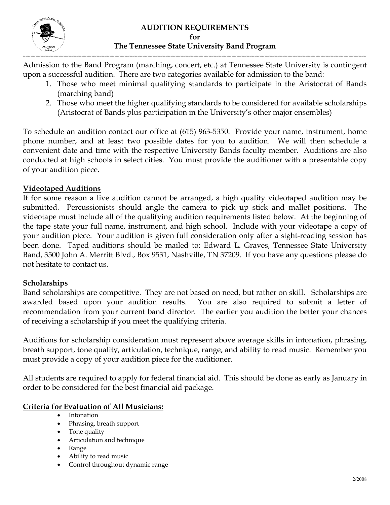

#### **AUDITION REQUIREMENTS for The Tennessee State University Band Program**

Admission to the Band Program (marching, concert, etc.) at Tennessee State University is contingent upon a successful audition. There are two categories available for admission to the band:

- 1. Those who meet minimal qualifying standards to participate in the Aristocrat of Bands (marching band)
- 2. Those who meet the higher qualifying standards to be considered for available scholarships (Aristocrat of Bands plus participation in the University's other major ensembles)

To schedule an audition contact our office at (615) 963-5350. Provide your name, instrument, home phone number, and at least two possible dates for you to audition. We will then schedule a convenient date and time with the respective University Bands faculty member. Auditions are also conducted at high schools in select cities. You must provide the auditioner with a presentable copy of your audition piece.

### **Videotaped Auditions**

If for some reason a live audition cannot be arranged, a high quality videotaped audition may be submitted. Percussionists should angle the camera to pick up stick and mallet positions. The videotape must include all of the qualifying audition requirements listed below. At the beginning of the tape state your full name, instrument, and high school. Include with your videotape a copy of your audition piece. Your audition is given full consideration only after a sight-reading session has been done. Taped auditions should be mailed to: Edward L. Graves, Tennessee State University Band, 3500 John A. Merritt Blvd., Box 9531, Nashville, TN 37209. If you have any questions please do not hesitate to contact us.

### **Scholarships**

Band scholarships are competitive. They are not based on need, but rather on skill. Scholarships are awarded based upon your audition results. You are also required to submit a letter of recommendation from your current band director. The earlier you audition the better your chances of receiving a scholarship if you meet the qualifying criteria.

Auditions for scholarship consideration must represent above average skills in intonation, phrasing, breath support, tone quality, articulation, technique, range, and ability to read music. Remember you must provide a copy of your audition piece for the auditioner.

All students are required to apply for federal financial aid. This should be done as early as January in order to be considered for the best financial aid package.

### **Criteria for Evaluation of All Musicians:**

- Intonation
- Phrasing, breath support
- Tone quality
- Articulation and technique
- Range
- Ability to read music
- Control throughout dynamic range